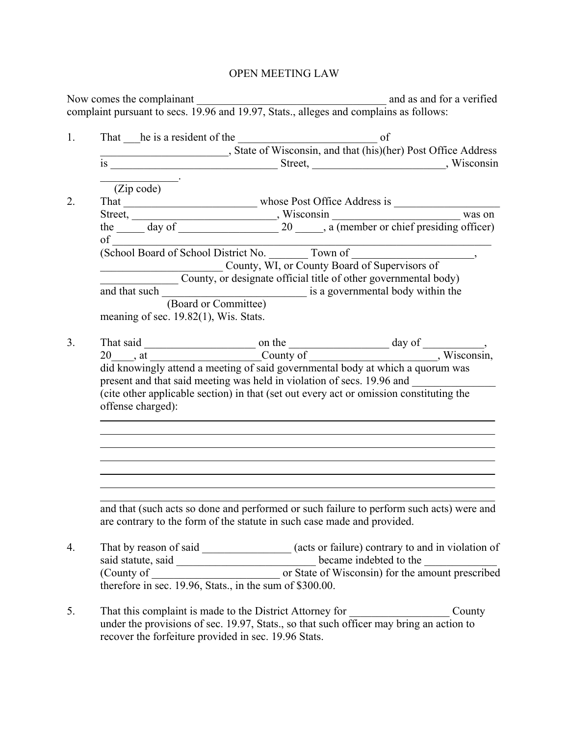## OPEN MEETING LAW

|                | Now comes the complainant <u>complainant</u> and as and for a verified<br>complaint pursuant to secs. 19.96 and 19.97, Stats., alleges and complains as follows:                                                                    |
|----------------|-------------------------------------------------------------------------------------------------------------------------------------------------------------------------------------------------------------------------------------|
| 1.             |                                                                                                                                                                                                                                     |
|                |                                                                                                                                                                                                                                     |
|                |                                                                                                                                                                                                                                     |
|                | $\overline{(Zip code)}$                                                                                                                                                                                                             |
| 2.             |                                                                                                                                                                                                                                     |
|                |                                                                                                                                                                                                                                     |
|                |                                                                                                                                                                                                                                     |
|                |                                                                                                                                                                                                                                     |
|                | of (School Board of School District No. Town of County, WI, or County Board of Supervisors of                                                                                                                                       |
|                |                                                                                                                                                                                                                                     |
|                | County, or designate official title of other governmental body)                                                                                                                                                                     |
|                |                                                                                                                                                                                                                                     |
|                | (Board or Committee)                                                                                                                                                                                                                |
|                | meaning of sec. 19.82(1), Wis. Stats.                                                                                                                                                                                               |
| 3 <sub>1</sub> |                                                                                                                                                                                                                                     |
|                |                                                                                                                                                                                                                                     |
|                | did knowingly attend a meeting of said governmental body at which a quorum was<br>present and that said meeting was held in violation of secs. 19.96 and _________                                                                  |
|                | (cite other applicable section) in that (set out every act or omission constituting the<br>offense charged):                                                                                                                        |
|                |                                                                                                                                                                                                                                     |
|                |                                                                                                                                                                                                                                     |
|                | and that (such acts so done and performed or such failure to perform such acts) were and<br>are contrary to the form of the statute in such case made and provided.                                                                 |
| 4.             | That by reason of said ________________(acts or failure) contrary to and in violation of                                                                                                                                            |
|                |                                                                                                                                                                                                                                     |
|                |                                                                                                                                                                                                                                     |
|                | said statute, said<br>(County of counts of the counts of State of Wisconsin) for the amount prescribed<br>therefore in sec. 19.96, Stats., in the sum of \$300.00.                                                                  |
| 5.             | That this complaint is made to the District Attorney for $\frac{1}{2}$<br>County<br>under the provisions of sec. 19.97, Stats., so that such officer may bring an action to<br>recover the forfeiture provided in sec. 19.96 Stats. |